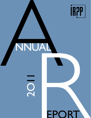

# A NNUAL

**2012** 

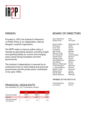

# MISSION

Founded in 1972, the Institute for Research on Public Policy is an independent, national, bilingual, nonprofit organization.

The IRPP seeks to improve public policy in Canada by generating research, providing insight and sparking debate on current and emerging policy issues facing Canadians and their governments.

The Institute's independence is assured by an endowment fund, to which federal and provincial governments and the private sector contributed in the early 1970s.

# FINANCIAL HIGHLIGHTS Lea Hansen Toronto

Year ended March 31, 2011 (in thousands of dollars)

|                                     | 2011  | 2010  | 2009  |
|-------------------------------------|-------|-------|-------|
| Operational budget                  | 2,392 | 2,385 | 2,579 |
| <b>Expenses</b>                     | 2,351 | 2,304 | 2,460 |
| Operational budget<br>over expenses | 41    | 81    | 119   |

# Board of Directors

Janice MacKinnon Chair Graham Scott Vice-Chair

David N. Biette Washington, DC Kim Brooks Halifax Ian D. Clark Toronto Jim Dinning Calgary Alain Dubuc Montreal Mary Lou Finlay **Toronto** Ann Fitz-Gerald United Kingdom Isabelle Hudon Montreal George Lafond Victoria Janice MacKinnon Saskatoon John Manley **Ottawa** Barbara J. McDougall Toronto A. Anne McLellan Edmonton L. Jacques Ménard Montreal Martha C. Piper Vancouver Graham Scott Toronto Paul M. Tellier Montreal Wanda Wuttunee Winnipeg

#### MEMBERS OF THE INSTITUTE

Howard Bergman Montreal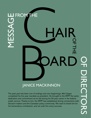

The past year has been one of endings and new beginnings. Mel Cappe completed his five year mandate as president. He brought to the IRPP the same dedication and commitment as he did during his 30-year career in the federal public service. Thanks to him, the IRPP has established strong connections with .<br>decision-makers and the Canadian policy community. We want to thank him for

O  $\overline{\phantom{a}}$ D<br>Director **DDDDDDDDDDDDDDD**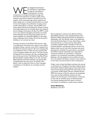**Example 15 Accepted that Graham Fox will lead our organization**<br>through the next phase of through the next phase of through the next phase of the brings tremendous energy and Fox will lead our organization through the next phase of its development. A policy executive-level experience in politics, public policy research, government relations and advocacy to the position. In the information age, policy research and public debate are in constant transformation as a result of new technologies, the proliferation of policy actors and the expectations of citizens, and the IRPP must evolve along with those developments. Graham's policy and media experience, his curiosity about new research and his dialogue techniques will allow the IRPP to build on its core research strengths and enhance its profile. These attributes will also help bring leaders from all sectors together for meaningful debates on the tough policy challenges that lie ahead. We all look forward to building on our success as a team.

Turning to business of the Board, Peter Aucoin, chair of our Research Committee and a director since 2005, and Milton Wong, a director since 2010, resigned from the Board for personal reasons. We were subsequently very saddered to learn of Peter Aucoin's passing after a very courageous battle with cancer. This year we also bid farewell to four directors who have completed their second four-year terms: Fred Gorbet, Guy Saint-Pierre, Bernard Shapiro and Kent Weaver. As well, members Meyer Burstein and Peter Nicholson are leaving after completing their two-year terms. On behalf of the Board, I wish to thank all of them for their invaluable contributions to the Board, its committees and the Institute.

We are pleased to welcome new Board members David Biette, Director of the Canada Institute at the Woodrow Wilson International Center for Scholars in Washington, DC; Kim Brooks, Dean of the Dalhousie University Schulich School of Law; Alain Dubuc, author and columnist for *La Presse* and six other dailies in Quebec; Isabelle Hudon, President of Sun Life Financial Quebec; and George Lafond, a former First Nations tribal council chief and a business and social development consultant for governments, universities, First Nations bands, businesses and organizations. Joining as members are Lea Hansen, a long time member of our Investment Committee, and Howard Bergman, who has agreed to serve another two-year term. On behalf of the Board, I extend a warm welcome to all of them and look forward to their contributions.

Finally, I want to thank the Board members who served on the Search for President Committee: Graham Scott, Fred Gorbet, Barbara McDougall and Guy Saint-Pierre. They all went above and beyond the call of duty to find a successor to Mel Cappe. We are confident that the IRPP will continue to flourish under its new leadership. I also want to thank all Board members for their support over the last year. I look forward to continuing to work with an excellent group of talented people from diverse backgrounds who share a common commitment to excellence in public policy research.

**Janice MacKinnon**,

Saskatoon, June 2011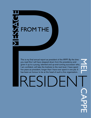# This is my final annual report as president of the stars of the stars of the stars of the stars of the stars of the stars of the stars of the stars of the stars of the stars of the stars of the stars of the stars of the st **MESSAGE** FROM THE

This is my final annual report as president of the IRPP. By the time you read this I will have stepped down from the presidency and given it up to a young, talented and up-and-coming successor who, I am confident, will take the Institute to the next level. I have spent five years as president, longer than I have ever spent in one job. It has been an honour to be at the head of such a fine organization.

RESIDENT MEL

**D**<br>C<br>C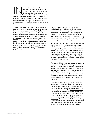INMY first annual report I identified a few objectives, and I want now to reiterate and reconfirm some of those sentiments.<br>In the first objective was to plug the research into decision-makers and to nourish the public objectives, and I want now to reiterate and reconfirm some of those sentiments. My first objective was to plug the debate. We have kept that focus and have made a point of connecting to municipal, provincial and federal legislators, officials and ministers. In addition, we have strategically used the media to get our messages out to the informed public to affect decision-makers.

The key to the IRPP brand is the high quality of our research, and this is what distinguishes the Institute from other comparable organizations. We have a first class, professional staff (more on that below), and the scholars and researchers who contribute are some of the best in the country. Over my 30 years of policy work in government, and now five at the IRPP, I have seen the importance of evidence-based policy development. Analysis and evidence are the key to good policy and to good decision-making in governments. The role of research in nourishing the public debate is crucial. And the IRPP has always played an important part in that debate.

The IRPP's independence also contributes to its credibility with the public, the media and decisionmakers. Crucial to protecting that independence is the diversity and competence of the distinguished Board. Just as important is the Endowment Fund, which allows us to do research on the issues we feel are important to the future of the country, not those for which people are prepared to pay.

As the public policy process changes, so does the thinktank community. While there has been a proliferation of institutions, many of them have a specific point of view or perspective, which makes them advocates. The IRPP stands apart from many other think tanks. We do not advocate a position or point of view. As our mission statement says, our goal is to improve public policy in Canada. We do so by generating research, providing insight and sparking debate. That is how we strengthen the quality of public policy decisions.

The second objective I set was to try to engage with people who were "not the usual suspects" for our research. Over the years we have developed a stable of senior, distinguished scholars who are pleased to work with us. But we have also deliberately reached out to scholars and commentators of the next generation to do work for us. Perhaps a clear example of this is Graham Fox who, over the last few years, has regularly written for the IRPP's *Policy Options*  magazine.

Finally, I have often told people that the job of the president is to decide what NOT to do research on. The public policy challenges of this millennium are enormous. But the Institute has kept its focus on its major programs of research – [Diversity, Immigration](http://irpp.org/research/research_project.php?ResearchCode=Diversity,%20Immigration%20and%20Integration) [and Integration;](http://irpp.org/research/research_project.php?ResearchCode=Diversity,%20Immigration%20and%20Integration) [Competitiveness, Productivity and](http://irpp.org/research/research_project.php?ResearchCode=Competitiveness,%20Productivity%20and%20Economic%20Growth) [Economic Growth](http://irpp.org/research/research_project.php?ResearchCode=Competitiveness,%20Productivity%20and%20Economic%20Growth); and [Faces of Aging](http://irpp.org/research/research_project.php?ResearchCode=Faces%20of%20Aging) - throughout my term. Of course, we have digressed from time to time on strategic programs like [Security and](http://irpp.org/research/research_project.php?ResearchCode=Security%20and%20Democracy)  [Democracy.](http://irpp.org/research/research_project.php?ResearchCode=Security%20and%20Democracy) Water which was the focus of our *Policy Options* edition in [July 2009;](http://irpp.org/po/issue.php?month=July&year=2009) and the Canadian North, which was the highly successful [Art of the State](http://irpp.org/research/research_project.php?ResearchCode=Art%20of%20the%20State%20IV%20-%20The%20Canadian%20North) project that was in preparation just as I arrived.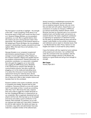The final aspect I would like to highlight – the strength of the staff – is also something I wrote about in my first annual report in 2007, and I would now like to end on it. Suzanne Ostiguy McIntyre, as vice-president, operations, is a rock. She is a gentle listener when she needs to be and a strong decision-maker when appropriate. The operations of the Institute depend on her steady hand. France St-Hilaire, the vice-president, research, is demanding of quality, *polyvalente* and clear sighted. When this team fires on all cylinders, it is a sight to behold.

Georgia Kotsakis is our competent receptionist/ administrative assistant/keeper of the lists and manager of event registrations. Brian Peebles is a fine research assistant, diligent and capable beyond his academic achievements. Chantal Létourneau, our production coordinator, is a resourceful, competent fixer who gets the magazine out on time while also juggling the IRPP Study series. Reliability is the watchword for Chantal. Kate Shingler, as communications director, has done a great job plugging us in to the media and educating some of us about the intricacies of social media. Kate's replacement during her maternity leave, Nicola Johnston, is a strong communications officer who has lots of ideas and is able to take complex notions and translate them for the uninitiated.

Suzanne Lambert is the events coordinator, and she is competent and reliable. Suzanne had my total confidence. Francesca Worrall is an ace with words (and if I were better at them, I would use something other than "ace"). She knows the rules, respects them and is able to juggle the multiple demands on her time. Guadalupe Bermejo is a seasoned pro as our comptroller. She is organized, disciplined and not afraid to tell the truth. She has kept us on the straight and narrow and makes a good contribution to the Institute. Félice Schaefli, my assistant, put up with my craziness and made sure I was where I needed to be with the right material. Her talents and rigour as a translator, copy editor and administrator have also made her a valuable member of the editorial team.

Jeremy Leonard is a multitalented economist who started as our Webmaster and has developed into an analytical research director who can move files and deal well with authors. Sarah Fortin is our conscience on *la place du français à l'IRPP* and is a serious social policy research director. David Boisclair has been an important part of our economic analytical team and handled water and pensions as research director. He made a significant contribution in organizing our symposium on retirement income. He has taken an extended paternity leave and will be missed. Leslie Seidle is a true scholar of democracy and institutions and an expert on diversity issues. And L. Ian MacDonald has taken *Policy Options* to new heights and made it a must-read for policy-makers.

I leave the Institute with few regrets but some sadness at the projects yet to be done. I am confident that under the command of the new president, with this team and the strategic direction of the Board, the Institute is in good hands and will go from strength to strength.

#### **Mel Cappe**

Toronto, April 2011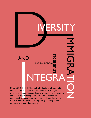

numerous public events and conferences on immigration policy and the economic and social integration of immigrants in Canada. In publishing another four studies over the past year, this research program has continued to explore the policy challenges related to growing diversity, social cohesion and shared citizenship.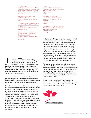#### PUBLICATIONS

*The Canadian Temporary Foreign Worker [Program: Do Short-Term Economic Needs](http://www.irpp.org/pubs/IRPPstudy/IRPP_Study_no5.pdf) Prevail over Human Rights Concerns?* Delphine Nakache and Paula J. Kinoshita May 2010

*[Multiple Citizenship, Identity and](http://www.irpp.org/pubs/IRPPstudy/IRPP_Study_no6.pdf)  Entitlement in Canada* Andrey Macklin and François Crépeau June 2010

*[Un diplôme postsecondaire canadien : un](http://www.irpp.org/fr/pubs/IRPPStudy/IRPP_study_no8.pdf)  tremplin vers des emplois de qualité pour les immigrants?* Maude Boulet and Brahim Boudarbat September 2010

*The Manitoba Provincial Nominee [Program: Attraction, Integration and](http://www.irpp.org/pubs/IRPPStudy/IRPP_study_no10.pdf)  Retention of Immigrants* Tom Carter, Manish Pandey and James **Townsend** October 2010

May, the IRPP held a two-day expert<br>
symposium in Ottawa on Canada's lor<br>
labour market peeds. The symposium was attended symposium in Ottawa on Canada's longlabour market needs. The symposium was attended by academics, practitioners and officials from the federal and several provincial governments. Notable among those in attendance was George Borjas, an internationally recognized scholar, who delivered the symposium's keynote address.

Two of the IRPP's four publications in this research program this year are noteworthy for their contribution to the underresearched areas of the Provincial Nominee Program and the Federal Skilled Worker Program.

Over the past decade, one of the noteworthy changes to Canada's immigration system has been the increase in the number of newcomers settling in the smaller provinces through the Provincial Nominee Program, whereby immigrants are selected by the province to address labour market shortages. Tom Carter, James Townsend and Manish Pandey find in their case study of Manitoba's Provincial Nominee Program that Manitoba's provincial nominees had positive settlement and integration outcomes. The authors' research and their main conclusions were the subject of a panel discussion at a working lunch held in Winnipeg, and a report appeared in the *Winnipeg Free Press* on the same day.

#### **FVENTS**

Symposium: "Canada's Immigration Policy: Reconciling Labour Market Needs and Longer-Term Goals" May 25-26, 2010 **Ottawa** 

Working Lunch: "Un diplôme postsecondaire canadien : un tremplin vers des emplois de qualité pour les immigrants?" September 20, 2010 **Montreal** 

Working Lunch: "The Manitoba Provincial Nominee Program: Attraction, Integration and Retention of Immigrants" October 20, 2010 Winnipeg

As the number of temporary foreign workers in Canada rises, questions are emerging about the challenges they face, especially when it comes to employment conditions. Delphine Nakache and Paula Kinoshita's study of the Canadian Foreign Worker Program in Alberta concludes that the short-term focus of this program will not help the country realize its long-term labour market needs, and is unfair to the vast majority of temporary workers. The study received extensive media coverage, with stories in the *Toronto Star* and the *Globe and Mail*, and an op-ed in the *Vancouver Sun*. The authors also gave several radio interviews with the CBC and Radio Canada International.

The Institute continues its efforts to bring emerging policy issues to the attention of policy-makers through informal briefing sessions. In January, IRPP researchers held a half-day briefing session for Quebec's Minister of Immigration, which was attended by staff and senior officials from the Ministère de l'Immigration et Communautès culturelles and the Ministère de l'Emploi et de Solidarité sociale.

Over the coming year, the IRPP will broaden its research on immigrant integration beyond the issues of market and economic outcomes to look more closely at the elements of social integration.



Diversity, Immigration and Integration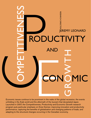

Economic issues continue to be prominent in the wake of the global recession, the events unfolding in the Arab world and the aftermath of the tsunami that devastated Japan. Launched in 2007, the Competitiveness, Productivity and Economic Growth research program puts particular emphasis on three themes: improving innovation and productivity performance, capturing the benefits of globalization and changing patterns of trade, and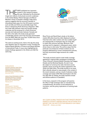THEIRPP published two important<br>
studies in this research program<br>
studies of structural oconomic wookee studies in this research program this year. Motivated by the potential longer-term effects of structural economic weakness in the United States, Patrick Georges and Marcel Mérette's study of Canada's strategic trade policy options suggests that the economic benefits of diversifying trade away from the US toward countries such as India and China are potentially larger than those of deepening North American integration. With free trade talks between India and Canada already underway and the proposal for a North American security and trade perimeter between Canada and the US on the table, this timely study garnered considerable interest, and it has has been downloaded from the IRPP Web site more than 10,000 times since its release in December 2010.

The sold-out working lunch, held on the day the study was released, drew an impressive crowd, including the federal Deputy Minister of Finance and Deputy Minister of International Trade. A news story highlighting the study's findings appeared in the *Globe and Mail* the same day.

#### **PUBLICATIONS**

*[Canada's Strategic Trade Policy](http://www.irpp.org/pubs/IRPPstudy/IRPP_Study_no11.pdf)  Options: Deeper Continental Integration or Diversification?*  Patrick Georges and Marcel Mérette December 2010

*[Labour Force Participation of Older](http://www.irpp.org/pubs/IRPPstudy/IRPP_Study_no15.pdf)  Displaced Workers in Canada: Should I Stay or Should I Go?* Ross Finnie and David Gray February 2011

#### **EVENT**

Working lunch: "Canada's Strategic Trade Policy Options: Deeper Continental Integration vs. Diversification" December 9, 2010 **Ottawa** 



Competitiveness, Competitivité, Productivity and<br>Compétitivité, Productivity and Compétitivité, Productivity and<br>productivité et Economic Growth productivité et<br>croissance économique

Ross Finnie and David Gray's study on the labour market difficulties faced by older displaced workers finds that when older workers who face sudden layoff are subsequently re-employed, they are rarely able to match their previous earnings. Moreover, their earnings tend to stagnate in subsequent years, which drives many to retire early. The authors argue that the particular circumstances of these workers are not properly addressed by current unemployment policies, and they recommend wage insurance as a viable option.

 This study received coast-to-coast media coverage, appearing in regional daily newspapers including the *Times Colonist* in Victoria; British Columbia; the Calgary Herald; and the Montreal Gazette. As well, it was the subject of numerous live radio interviews across Canada, and an op-ed by the authors appeared in the *Globe and Mail* online. This study touches on an issue that is directly relevant to many people in the context of the recent recession, and as a result of extensive media coverage and nearly 2,000 Web downloads in the first four days after its release, the study reached a broad and diverse audience of Canadians.

In the future, research in this program will examine the effect of high exchange rates on manufacturing competitiveness, the drivers of and obstacles to innovation, and the policy implications of evolving trade patterns.

LA CLEAR GLOBAL TRADE PLAN THAT TARGETS<br>MARKETS IS WHAT'S NEEDED, ARGUE THE AUTHO markets iswhat's needed, argue the authors of a report for the Institute for Research on Public POLICY.<sup>11</sup> - Globe and Mail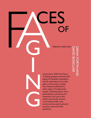F

RESEAR CH DIRE CTORS

David BoisclairSarah ー<br>又 FORTIN AND<br>O

RESEARCH DIRE<br>
RESEARCH DIRE<br>
RESEARCH DIRE<br>
Launched in 2007, the Fa<br>
of Aging program examine<br>
arging of Canada's popula<br>
and its implications for public and contained<br>
The research addresses and contained<br>
The research Launched in 2007, the Faces of Aging program examines the aging of Canada's population and its implications for public policy and society at large. The research addresses a wide range of fundamental issues, including labour force participation; pensions and retirement; the role of the public and private sectors in providing health care, social services and economic security; and end-of-life questions.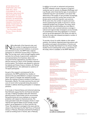**INTHE RESULTS CANNATION** *ILTHE RESULTS OF* one will help contribute to the national dialogue on the future of our retirement income system, as ministers of finance across Canada continue to work together to review the current **CHALLENGES.11** CHALLENGES.<sup>11</sup><br>- The Honorable Dwight Duncan, Ontario Minister of Finance

IN the aftermath of the financial crisis, and<br>
in the context of ongoing provincial and<br>
federal government initiatives on pensions<br>
and retirement income the IBBB held a national in the context of ongoing provincial and and retirement income, the IRPP held a national symposium on retirement income policy in Toronto in May. The two-day event, which brought together public servants from all levels of government; academics; and representatives from business, labour and nongovernmental organizations; provided a forum to discuss avenues for reform of the Canadian retirement income system. The Institute was pleased to welcome the federal and Ontario finance ministers, Jim Flaherty and Dwight Duncan, who addressed an audience of 70 expert participants.

As part of the research commissioned for the symposium, the IRPP published four studies on pensions this year. Bob Baldwin's analysis of pension reform options in Canada was released just days before the meeting of finance ministers on this topic in Kananaskis, Alberta. The study examines the pros and cons of recent reform proposals being discussed in Canada to address declining participation in workplace pensions.

In his study on financial literacy and retirement planning, Saul Schwartz argues that the role financial education can play in helping Canadians deal with retirement planning issues is quite limited, and he recommends that governments put more emphasis on consumer protection with respect to financial services. The study generated nearly 30 newspaper articles in major national and regional dailies across Canada, and the author's op-ed appeared in *Le Devoir* and the *Hill Times*. The study also re-emerged in the news with the release of the final report by the Task Force on Financial Literacy in February. Schwartz presented his findings at a sold out working lunch in Toronto, also in February.

In addition to its work on retirement and pensions, the IRPP released a study in January on long-term residential care for seniors, by Margaret McGregor and Lisa Ronald, which finds that the type of ownership of residential long term care facilities is one factor that determines of the quality of care provided. Increasingly, governments across the country have turned to the private sector to provide long-term care services. At the same time, the number of reports and news stories questioning the quality of services in various residential facilities has increased. The study, which concludes that for-profit facilities are more likely to provide inferior care, received extensive coverage in national and regional daily newspapers across Canada. A comprehensive news story appeared in *La Presse*, and an op-ed that appeared in the *Globe and Mail* on the day the study was released prompted a number of letters to the editor.

To provide a forum for public debate on this salient question, the Institute organized panel discussions with the authors and expert commentators in Toronto and Montreal. Panellist Gail Dobell from the Ontario Health Quality Council subsequently wrote a commentary on the study, which is available on the IRPP Web site.

#### **PUBLICATIONS** *[Improving Canada`s Retirement](http://www.irpp.org/pubs/IRPPstudy/IRPP_Study_no9.pdf)  Saving: Lessons from Abroad, Ideas from Home*  Patrik Marier September 2010

*Can Financial Education Improve [Financial Literacy and Retirement](http://www.irpp.org/pubs/IRPPstudy/IRPP_Study_no12.pdf)  Planning?* Saul Schwartz December 2010

*Pension Reform in Canada: A [Guide to Fixing Our Futures Again](http://www.irpp.org/pubs/IRPPstudy/IRPP_Study_no13.pdf)* Bob Baldwin December 2010

*Residential Long-Term Care for [Canada's Seniors: Nonprofit, For-](http://www.irpp.org/pubs/IRPPstudy/2011/IRPP_Study_no1.pdf)Profit or Does It Matter?* Margaret J. McGregor and Lisa A. Ronald January 2011



**Faces of Aging** Les défis du vieillissement

*[Is Your Defined-Benefit Pension](http://www.irpp.org/pubs/IRPPstudy/IRPP_Study_no16.pdf)  Guaranteed? Funding Rules, Insolvency Law and Pension Insurance* Ronald B. Davis March 2011

#### **EVENTS**

Symposium: "Avenues for Reforming the Canadian Retirement Income System" May 4-5, 2010 **Toronto** 

"Residential Long-Term Care for Canada's Seniors: Nonprofit, For-Profit or Does it Matter?" January 2011 **Toronto** 

"Can Financial Education Improve Financial Literacy and Retirement Planning?" February 2011 **Toronto**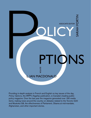

Providing in-depth analysis in French and English on key issues of the day, *Policy Options*, the IRPP's flagship publication, is Canada's leading public policy magazine. Over the last year the magazine generated over 180 media items, making news around the country on debates related to the Toronto G20 and Muskoka G8, the effectiveness of Parliament, Obama at mid-mandate,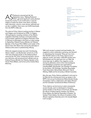AS Parliament resumed last fall, the<br>September issue, "Making Parliament<br>across the country. In one month alone, it was the Parliament resumed last fall, the September issue, "Making Parliament Work," garnered significant media attention subject of nearly two dozen news items, including radio interviews, columns, news stories, editorials and op-eds. In addition, there were over 5,000 downloads from the IRPP's Web site.

The sold-out *Policy Options* working lunches in Ottawa and Calgary were broadcast by CPAC. In Calgary, 150 participants, including members of the Alberta Legislative Assembly, business community leaders, and journalists, gathered at Calgary's Petroleum Club in February to participate in the event on clean energy. In September, Federal Finance Minister Jim Flaherty, Speaker of the House Peter Milliken and Leader of the Government John Baird were among the attendees in Ottawa at the event on parliamentary efficacy.

While the magazine boasts top-notch Contributing Writers, Editor L. Ian MacDonald, named one of the 100 most influential people on the federal political scene by the *Hill Times*, conducted exclusive, one-onone interviews with top government officials such as Federal Finance Minister Jim Flaherty, Speaker of the House Peter Milliken, and former prime minister Brian Mulroney.

**EVENTS** Working Lunch: "The Federal Budget" April 14, 2010 **Ottawa** 

Working Lunch: "Making Parliament Work" September 29, 2010 **Ottawa** 

Working Lunch: "A Snapshot of Canada, 2010" December 3, 2010 Toronto

Working Lunch: "From Climate Change to Clean Energy" February 9, 2011 **Calgary** 

With such access to present and past leaders, the magazine's online readership is growing, and demand for advertising has increased. There are now more than 60,000 visitors to the *Policy Options* home page per month, and nearly 1,000,000 articles were downloaded over the past year from our Web site (www.irpp.org). In addition, the magazine counts among its advertisers some of the most prestigious and established companies and organizations, including BMO, Bombardier, the Canadian Foundation for Innovation, CN, Enbridge, Canadian Renewable Fuels Association (Greenfuels), Microsoft, Pratt & Whitney, Rx&D and the University of British Columbia.

Also this year, *Policy Options* published in print and on its Web site the winning and runner-up essays in the IRPP's first annual Constitutional Affairs Student Essay Competition, held in collaboration with Ogilvy Renault and the Canadian Constitutional Affairs Conference.

*Policy Options* can be found on select newsstands across Canada, and it is distributed to Canada's opinion leaders in the House of Commons, the Senate, the offices of federal deputy ministers, the Ottawa Press Gallery, the National Assembly of Quebec, the Quebec Press Gallery, the offices of members of the Alberta Legislative Assembly and in Air Canada Maple Leaf Lounges.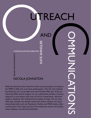

With the Internet at the forefront of the communications revolution, the IRPP's Web site is its best ambassador. This fall, the Institute launched its new, up-to-date and user-friendly Web site. It has an improved Web search engine, so our substantial portfolio of policy research is now easier than ever to find for researchers, decisionmakers, students, the media and the public at large. On our new Web site, people can donate online and share content via social networking tools such as Facebook, Twitter and RSS feeds, while continuing to have easy access to the extensive archive of studies, news releases, op-eds and podcasts.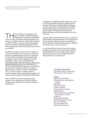is year, addition to launching its new<br>face on the Web, the IRPP has begu<br>posting expert commentaries that ref face on the Web, the IRPP has begun posting expert commentaries that reflect on the content, conclusions and policy implications of some of our studies. This new vehicle further enhances our ability to fulfill our mission of promoting dialogue about our research and sparking debate on current and emerging policy issues facing Canadians and their governments.

The IRPP's research continues to be the subject of, and even the catalyst for, numerous news stories, TV and radio interviews, blogs, and tweets. In particular, this past winter the Institute's work sparked media coverage of important policy debates on pensions. Patrik Marier, author of the recent IRPP study *[Improving Canada`s Retirement Saving: Lessons from](http://www.irpp.org/pubs/IRPPstudy/IRPP_Study_no9.pdf)  [Abroad, Ideas from Home](http://www.irpp.org/pubs/IRPPstudy/IRPP_Study_no9.pdf)*, was interviewed by *La Presse* journalist Stéphanie Grammond. Subsequently she was sent to Norway and Sweden to report on pension reforms in these countries. In mid-February 2011, a series of articles on pension reform in Sweden, Norway, Quebec and Canada appeared in *La Presse*, directly inspired by Patrik Marier's IRPP study.

While the IRPP is an active participant in public debates, it also disseminates its research findings through its own public events, private meetings and presentations.

In September, the IRPP hosted 25 students who were on the first Canada/EU study tour, organized by the European Network for Canadian Studies. Research directors Leslie Seidle and David Boisclair and IRPP President Mel Cappe ran a half-day seminar for the group, and later the Institute welcomed student Barbora Podana from the Czech Republic as an intern for the fall.

In March, IRPP research directors Jeremy Leonard and Leslie Seidle presented information on the Institute and on the research programs they direct to students at l'École nationale en administration publique in Montreal and Quebec City via video conference.

As well, the IRPP was invited to discuss its research on aging and pensions at a half-day meeting with the National Seniors Council. Through unique outreach opportunities such as these, the IRPP reaches its target audiences in innovative ways.

> **Sponsors/Donors The IRPP wishes to thank the following for their support:**

> **Amgen BMO Financial Group Citizenship and Immigration Canada Enbridge Finance Canada Finance Ontario Government of Ontario Graham Scott Human Resources and Social Development Canada** *Le Devoir* **Maytree Foundation Prairie Metropolis Centre Sun Life Financial The Great-West Life Wawanesa Insurance**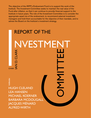The objective of the IRPP's Endowment Fund is to support the work of the Institute. The Investment Committee seeks to maintain the real value of the Fund after inflation, so that it can continue to provide financial support to the Institute in future years. The role of the Investment Committee is to consider the appropriate asset mix of the endowment, to recommend external investment managers and hold them accountable for the objective of their mandate, and to advise the Board on the Institute's investment strategy.

# I REPORT OF THE NVESTMENT **WHEE** D. Clark ш E  $\frac{Z}{Z}$ CHugh Cleland Lea Hansen

Michael Koerner BARBARA MCDOUGALL Jacques Ménard Alfred Wirth

MEMBERS

**MEMBER**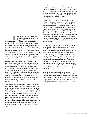The Committee and the Board have<br>
Let always recognized that there may<br>
be potentially competing objectives<br>
in maintaining the operations of the locitute and always recognized that there may in maintaining the operations of the Institute and protecting the value of the Fund. Therefore, in 1987 the Board of Directors decided that rather than using the actual income generated by the Fund in any one year, the Institute would withdraw an amount equal to 5 percent (it was 5.5 percent 1997-2000 and 6 percent 2005-07) of the average of the last three years' capital value of the Fund, measured at the fiscal year-end. A three-year average was used to smooth the impact of changes in the market and increase predictability.

However, like most other funds of this nature, the IRPP Endowment Fund was significantly affected by the financial crisis that began in the fall of 2008. It is in this context that in 2009, at the Board's request, the Investment Committee undertook a review of the sustainability of the 5 percent rate of draw on the Fund. This resulted in the Board of Directors deciding in December 2009 to gradually reduce the rate of draw to 4 percent by 2014-15 by dropping to 4.75 percent for the following two years and then gradually reducing by another 25 basis points a year to 4 percent by 2014-15.

The Committee also considered alternative smoothing formulae for drawing funds from the endowment. The modified Yale Formula was selected for the spending policy as it further reduces the transmission of portfolio volatility onto the amount released annually from the Fund. This formula consists of taking 80 percent of the allowable spending in the prior fiscal year, increased by the rate of inflation as measured by the Consumer Price Index, for the previous year; and 20 percent of the long-term spending rate applied to the four-quarter market average of the endowment for the period ending December 31, prior to the start of the fiscal year.

Using this new formula for the first time, the money available from the Fund for fiscal year 2010-11 amounted to \$1,857,019, a decrease of approximately \$19,215 from the transfer generated the previous year. Realized capital gains of \$213,419 and dividend and interest income of \$1,219,652 during the last fiscal year together amounted to \$1,433,071.

Over the years, the Investment Committee has taken several measures to ensure the optimal management of the Fund. In 1999, it decided to divide the Fund into two equal portions. Thus Knight, Bain, Seath and Holbrook Capital Management (KBSH), which had managed the Fund since 1989, was joined by Beutel, Goodman and Company Ltd. In 2004, the Committee decided to replace KBSH with McLean Budden Investment Managers. In June 2008, after interviewing international specialists, the Investment Committee hired the firm Julius Baer, now Artio Global, to manage the portion of the IRPP's assets that is invested in foreign markets.

In 2010, the Committee made two recommendations to the Board, which the Board approved. First, the Committee meets with each manager twice a year instead of four times: once briefly at the beginning of every calendar year to communicate any changes to their firm and present their portfolio strategy for the year; then again for an in depth discussion and to review their portfolio strategy and their performance based on benchmarks revised in 2009. Managers continue to distribute their quartely reports to the Committee. If Committee members have concerns, they raise them with the Committee chair or the IRPP President who, in turn, follow up with the manager concerned.

Second, the allowable threshold for equities in the portfolio was increased from 65 percent to 75 percent. This was not intended to be a directive to the managers to reach this maximum, but rather a message from the Board that it was prepared to increase the portfolio risk exposure to improve the portfolio return potential.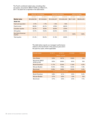The Fund's combined market value, including other net assets, amounted to \$36,717,036 as of March 31, 2011. Its asset mix is reported in the table below.

|                                |              | <b>BEUTEL GOODMAN</b> | <b>MCLEAN BUDDEN</b> |                          | <b>ARTIO GLOBAL</b> |             |
|--------------------------------|--------------|-----------------------|----------------------|--------------------------|---------------------|-------------|
|                                | 31/3/11      | 31/3/10               | 31/3/11              | 31/3/10                  | 31/3/11             | 31/3/10     |
| <b>Market value</b>            | \$18,299,796 | \$17,403,824          | \$14,546,437         | \$14,252,405             | \$3,711,951         | \$3,554,455 |
| <b>Asset mix</b>               |              |                       |                      |                          |                     |             |
| Cash and equivalent            | 0.7%         | 1.7%                  | 1.4%                 | 1.9%                     |                     |             |
| Fixed income                   | 36.9%        | 42.1%                 | 47.3%                | 48.2%                    |                     |             |
| Canadian equities              | 42.7%        | 37.9%                 | 29.3%                | 27.4%                    |                     |             |
| US equities                    | 19.7%        | 18.2%                 | 22.0%                | 22.5%                    |                     |             |
| Non-North American<br>equities |              | $\blacksquare$        |                      | $\overline{\phantom{a}}$ | 100%                | 100%        |
| Total equities                 | 61.4%        | 56.2%                 | 51.3%                | 49.9%                    |                     |             |

The table below reports our managers' performance relative to the benchmark in the previous year and in the past four years, where applicable.

| Periods ended                  | 31/3/11 | 31/3/10                    | 31/3/09   | 31/3/08 |
|--------------------------------|---------|----------------------------|-----------|---------|
|                                |         | <b>ANNUAL RETURN</b>       |           |         |
| Artio Global                   | 5.5%    | 18.7%                      | $-13.6%$  | N/A     |
| Benchmark (MSCI<br>ACWI ex-US) | 8.5%    | 29.8%                      | $-9.0\%$  | N/A     |
| <b>Beutel Goodman</b>          | 11.7%   | 22.9%                      | $-11.8%$  | $-4.2%$ |
| McLean Budden                  | 10.4%   | 17.3%                      | $-10.0\%$ | $-1.3%$ |
| <b>Benchmark</b>               | 10.8%   | 18.8%                      | $-13.0%$  | 0.4%    |
|                                |         | 4 YEAR RETURN (ANNUALIZED) |           |         |
| Beutel Goodman                 | $3.8\%$ | 3.1%                       | 0.5%      | 5.4%    |
| McLean Budden                  | 3.7%    | $3.5\%$                    | 1.9%      | N/A     |
| Benchmark                      | $3.7\%$ | $3.2\%$                    | 2.0%      | $7.1\%$ |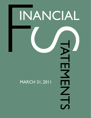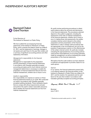## Independent Auditor's Report

### Raymond Chabot **Grant Thornton**

To the Directors of The Institute for Research on Public Policy

We have audited the accompanying financial statements of the Institute for Research on Public Policy, which comprise the balance sheet as at March 31, 2011 and the statements of earnings, changes in net assets and cash flows for the year then ended, and a summary of significant accounting policies and other explanatory information.

#### *Management's responsibility for the financial statements*

Management is responsible for the preparation and fair presentation of these financial statements in accordance with Canadian generally accepted accounting principles and for such internal control as management determines is necessary to enable the preparation of financial statements that are free from material misstatement, whether due to fraud or error.

#### *Auditor's responsibility*

Our responsibility is to express an opinion on these financial statements based on our audit. We conducted our audit in accordance with Canadian generally accepted auditing standards. Those standards require that we comply with ethical requirements and plan and perform the audit to obtain reasonable assurance about whether the financial statements are free from material misstatement.

An audit involves performing procedures to obtain audit evidence about the amounts and disclosures in the financial statements. The procedures selected depend on the auditor's judgment, including the assessment of the risks of material misstatement of the financial statements, whether due to fraud or error. In making those risk assessments, the auditor considers internal control relevant to the entity's preparation and fair presentation of the financial statements in order to design audit procedures that are appropriate in the circumstances, but not for the purpose of expressing an opinion on the effectiveness of the entity's internal control. An audit also includes evaluating the appropriateness of accounting policies used and the reasonableness of accounting estimates made by management, as well as evaluating the overall presentation of the financial statements.

We believe that the audit evidence we have obtained is sufficient and appropriate to provide a basis for our audit opinion.

#### *Opinion*

In our opinion, the financial statements present fairly, in all material respects, the financial position of the Institute for Research in Public Policy as at March 31, 2011 and the results of its operations and its cash flows for the year then ended in accordance with Canadian generally accepted accounting principles.

Raymond Cholot Grant Thornton LLP

Montréal June 7, 2011

1 Chartered accountant auditor permit no. 14444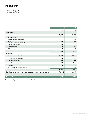# EARNINGS

Year ended March 31, 2011 (In thousands of dollars)

|                                                                   | 2011     | 2010     |
|-------------------------------------------------------------------|----------|----------|
|                                                                   | \$       | \$       |
| <b>Revenues</b>                                                   |          |          |
| Net investment income                                             | 3,556    | 6,139    |
| Other revenues                                                    |          |          |
| Policy Options magazine                                           | 32       | 37       |
| <b>Policy Options advertising</b>                                 | 122      | 155      |
| Other publications                                                | 26       | 50       |
| Contributions                                                     | 274      | 147      |
| Other                                                             | 9        | 9        |
|                                                                   | 463      | 398      |
| <b>Expenses</b>                                                   |          |          |
| General research and support services                             | 1,813    | 1,723    |
| Policy Options magazine                                           | 472      | 474      |
| Other publications                                                | 46       | 81       |
| Investment management and custodial fees                          | 213      | 209      |
| Interest                                                          | 8        | 7        |
| Amortization of capital assets                                    | 12       | 19       |
|                                                                   | 2,564    | 2,513    |
| Deficiency of revenues over expenses before net investment income | (2, 101) | (2, 115) |
|                                                                   |          |          |
| <b>Excess of revenues over expenses</b>                           | 1,455    | 4,024    |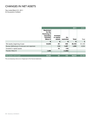# Changes in Net Assets

Year ended March 31, 2011 (In thousands of dollars)

|                                               |                                                                                     |                                         |                   | 2011         | 2010   |
|-----------------------------------------------|-------------------------------------------------------------------------------------|-----------------------------------------|-------------------|--------------|--------|
|                                               | <b>Restricted</b><br>for the<br>financing of<br>operating<br>activities<br>(Note 4) | <b>Invested</b><br>in capital<br>assets | Un-<br>restricted | <b>Total</b> | Total  |
|                                               | \$                                                                                  | \$                                      | \$                | \$           | \$     |
| Net assets, beginning of year                 | 34,936                                                                              | 20                                      | 208               | 35,164       | 31,140 |
| Excess (deficiency) of revenues over expenses |                                                                                     | (12)                                    | 1,467             | 1,455        | 4,024  |
| Invested in capital assets                    |                                                                                     | 16                                      | (16)              |              |        |
| Transfer (Note 4)                             | 1,486                                                                               |                                         | (1, 486)          |              |        |
|                                               |                                                                                     |                                         |                   |              |        |
| Net assets, end of year                       | 36,422                                                                              | 24                                      | 173               | 36,619       | 35,164 |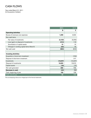# CASH FLOWS

Year ended March 31, 2011 (In thousands of dollars)

|                                           | 2011      | 2010      |
|-------------------------------------------|-----------|-----------|
|                                           | \$        | \$        |
| <b>Operating Activities</b>               |           |           |
| Excess of revenues over expenses          | 1,455     | 4,024     |
| Non-cash items                            |           |           |
| Fair value of investments                 | (2, 123)  | (5,056)   |
| Loss (gain) on disposal of investments    | (214)     | 118       |
| Amortization of capital assets            | 12        | 19        |
| Changes in working capital items (Note 5) | (54)      | 79        |
| Net cash used                             | (924)     | (816)     |
|                                           |           |           |
| <b>Investing Activities</b>               |           |           |
| Acquisition of short-term investment      |           | (152)     |
| Disposal of short-term investment         |           | 217       |
| Investments                               | (10, 037) | (13, 207) |
| Disposal of investments                   | 10,933    | 13,915    |
| Capital assets                            | (16)      | (15)      |
| Net cash generated                        | 880       | 758       |
| Decrease in cash                          | (44)      | (58)      |
| Cash, beginning of year                   | 100       | 158       |
| Cash, end of year                         | 56        | 100       |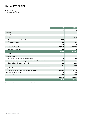# Balance Sheet

March 31, 2011 (In thousands of dollars)

|                                                           | 2011   | 2010   |
|-----------------------------------------------------------|--------|--------|
|                                                           | \$     | \$     |
| <b>Assets</b>                                             |        |        |
| Current assets                                            |        |        |
| Cash                                                      | 56     | 100    |
| Accounts receivable (Note 6)                              | 244    | 375    |
| Prepaid expenses                                          | 21     | 34     |
|                                                           | 321    | 509    |
| Investments (Note 7)                                      | 36,549 | 35,108 |
| Capital assets (Note 8)                                   | 24     | 20     |
|                                                           | 36,894 | 35,637 |
| <b>Liabilities</b>                                        |        |        |
| <b>Current liabilities</b>                                |        |        |
| Accounts payable and accrued liabilities                  | 117    | 270    |
| Subscription and advertising revenue collected in advance | 50     | 95     |
| Deferred contributions (Note 10)                          | 108    | 108    |
|                                                           | 275    | 473    |
| <b>Net Assets</b>                                         |        |        |
| Restricted for the financing of operating activities      | 36,422 | 34,936 |
| Invested in capital assets                                | 24     | 20     |
| Unrestricted                                              | 173    | 208    |
|                                                           | 36,619 | 35,164 |
|                                                           | 36,894 | 35,637 |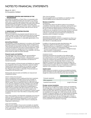# Notes to Financial Statements

March 31, 2011 (In thousands of dollars)

#### **1. GOVERNING STATUTES AND PURPOSE OF THE ORGANIZATION**

The Institute for Research on Public Policy is incorporated under Part II of the Canada Corporations Act. Its mission is to improve public policy in Canada by generating research, providing insight and sparking debate that will contribute to the public policy decisionmaking process and strengthen the quality of the public policy decisions made by Canadian governments, citizens, institutions and organizations. It is a registered charity under the Income Tax Act.

#### **2. SIGNIFICANT ACCOUNTING POLICIES**

#### Basis of presentation

The financial statements are prepared using the historical cost method, except for certain Financial instruments that are recognized at fair value. No information on fair value is presented when the carrying amount corresponds to a reasonable approximation of the fair value.

#### **Accounting estimates**

The preparation of financial statements in accordance with Canadian generally accepted accounting principles requires management to make estimates and assumptions that affect the amounts recorded in the financial statements and notes to financial statements. These estimates are based on management's best knowledge of current events and actions that the Organization may undertake in the future. Actual results may differ from these estimates.

#### **Financial assets and liabilities**

The Organization has chosen to apply the recommendations of Section 3861, «Financial Instruments – Disclosure and Presentation», of the Canadian Institute of Chartered Accountants' Handbook with respect to the presentation and disclosure of financial instruments.

On initial recognition, all financial assets and liabilities are measured and recognized at their fair value. Transaction costs from held-fortrading financial assets and liabilities are recognized in earnings and presented under Investment management and custodial fees. Regular-way purchases or disposals of financial assets are recognized at the transaction date.

Subsequently, financial assets and liabilities are measured and recognized as follows.

#### *Held-for-trading financial assets*

Cash is recognized as held for trading and short-term investment, interest and dividends receivable and accounts receivable on disposal of investments are designated by the Organization as held for trading. They are measured at their fair value and changes in fair value are recognized in earnings. Changes in fair value that are recognized in earnings include interest and dividend income, exchange gains or losses and realized and unrealized gains or losses, and are presented under Net investment income. The fair value of investments in shares and fund units is based on the current bid price and the fair value of investments in bonds is based according to the rate of return that reflects corresponding market conditions.

Upon initial recognition, the Organization designates some financial assets as held for trading because it considers that the financial information generated by this classification is more relevant for decision-making and provides a better means for evaluating the Organization's performance.

#### *Loans and receivables*

Trade accounts included in the accounts receivable are classified as loans and receivables, and they are measured at amortized cost, which is generally the initially recognized amount less any allowance for doubtful accounts.

#### *Other financial liabilities*

Accounts payable and accrued liabilities are classified as other financial liabilities and are measured at amortized cost.

#### **Revenue recognition**

#### *Contributions*

The Organization follows the deferral method of accounting for contributions. Under this method, contributions restricted for future period expenses are deferred and are recognized as revenue in the year in which the related expenses are incurred. Unrestricted contributions are recognized as revenue when received or receivable if the amount to be received can be reasonably estimated and collection is reasonably assured. Endowment contributions are reported as direct increases in net assets.

#### *Advertising and publication revenue*

Advertising and publication revenue is recognized once there is an agreement between the parties, the price is fixed or determinable and collection is reasonably assured.

In addition to the general principles described above, the Organization applies the following specific principles:

- Advertising revenue is recognized on a straight-line basis over the duration of the contract, once advertising is edited;
- Revenue from publications is recognized on a straight-line basis over the duration of subscriptions;
- Other revenue is recognized when it is earned.

#### *Investment income*

Investment transactions are recorded on the settlement date and resulting income is recognized using the accrual method of accounting. Interest income is recognized based on the number of days the investment was held during the year. Dividends are recognized as of the ex-dividend date. Gains or losses on the disposal of investments are determined using the average cost method. Transaction costs related to the acquisition or disposal of investments are included in the cost of investments or treated as a reduction of the proceeds on the disposal of investments.

#### **Capital assets**

Capital assets are recorded at cost less accumulated amortization and are amortized over their estimated useful lives according to the straight-line method and the following annual rates and period:

|                        | Rates and period    |
|------------------------|---------------------|
| Computer equipment     | 33%                 |
| Office equipment       | 20%                 |
| Leasehold improvements | Length of the lease |

#### **Foreign currency translation**

Monetary assets and liabilities in foreign currency are translated at the exchange rate in effect at the balance sheet date, whereas other assets and liabilities are translated at the exchange rate in effect at the transaction date. Revenue and expenses in foreign currency are translated at the average rate in effect during the year, with the exception of expenses relating to non-monetary assets and liabilities, which are translated at the historical rate. Gains and losses are included in the earnings for the year. Exchange gains or losses on held-for-trading financial instruments are included in net investment income presented in the statement of earnings.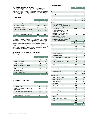#### **3. RESTRICTIONS ON NET ASSETS**

The net assets restricted for the financing of operating activities, and subject to internally imposed restrictions by the Board of Directors, must be maintained to finance the Organization's operating activities. These amounts cannot be used towards other purposes without the consent of the Board of Directors. Investment income is unrestricted.

#### **4. TRANSFER**

|                                                                           | 2011     | 2010    |
|---------------------------------------------------------------------------|----------|---------|
|                                                                           | \$       | \$      |
| Amount obtained from the formula of<br>endowment spending                 | 1,857    | 1,875   |
| Net investment income                                                     | 3,556    | 6,139   |
| Investment management and custodial<br>fees                               | (213)    | (209)   |
| Investment income, net of investment<br>management and custodial fees (a) | 3,343    | 5,930   |
| <b>Transfer</b>                                                           | (1, 486) | (4.055) |

To finance the operating activities of the Organization, the Board of Directors authorizes an annual transfer of resources from restricted net assets to unrestricted net assets. This transfer of resources is determined using a formula approved by the Board of Directors.

(a) The decrease in value in the restricted account and the offsetting amount that is unrestricted include the unrealized gain during the year on the assets in the restricted account.

#### **5. INFORMATION INCLUDED IN CASH FLOWS**

The changes in working capital items are detailed as follows:

|                                                              | 2011  | 2010 |
|--------------------------------------------------------------|-------|------|
|                                                              | S     | \$   |
| Accounts receivable                                          | 131   | (27) |
| Prepaid expenses                                             | 13    | (6)  |
| Accounts payable and accrued<br>liabilities                  | (153) | 42   |
| Subscription and advertising revenue<br>collected in advance | (45)  | 57   |
| Deferred contributions                                       |       | 13   |
|                                                              | (54   | 79   |

#### **6. ACCOUNTS RECEIVABLE**

|                                                   | 2011 | 2010 |
|---------------------------------------------------|------|------|
|                                                   | \$   | S    |
| Trade accounts                                    | 25   | 45   |
| Accounts receivable on disposal of<br>investments | 62   | 195  |
| Goods and services tax and Quebec<br>sales tax    | 62   | 38   |
| Interest and dividends receivable                 | 95   | 97   |
|                                                   | 244  | 375  |

#### **7. INVESTMENTS**

|                                                                                                                                       | 2011   | 2010   |
|---------------------------------------------------------------------------------------------------------------------------------------|--------|--------|
|                                                                                                                                       | \$     | \$     |
| Mutual fund units                                                                                                                     |        |        |
| Money market                                                                                                                          | 111    | 274    |
| <b>Bonds</b>                                                                                                                          | 6,880  | 6,878  |
| Shares                                                                                                                                | 11,379 | 10,852 |
|                                                                                                                                       | 18,370 | 18,004 |
| <b>Bonds</b>                                                                                                                          |        |        |
| Federal government, 1% to 4%<br>(1.25% to 8% in 2010), maturing on<br>different dates from September 2011<br>to June 2014             | 2,997  | 2,691  |
| Provincial government, 4.25% to<br>10.25% (4.4% to 10.25% in 2010),<br>maturing on different dates from<br>December 2011 to June 2019 | 469    | 1,064  |
| Corporations, 3.05% to 12.2%<br>(3.13% to 12.2% in 2010), maturing<br>on different dates from November<br>2012 to November 2050       | 3,290  | 3,575  |
|                                                                                                                                       | 6,756  | 7,330  |
| Canadian shares                                                                                                                       |        |        |
| Metals and minerals                                                                                                                   | 153    | 106    |
| Gold and valuable metals                                                                                                              | 253    |        |
| Oil and gas                                                                                                                           | 2,042  | 1,431  |
| Consumer products                                                                                                                     |        | 109    |
| Industrial products                                                                                                                   | 112    | 55     |
| Biotechnology and pharmaceutical                                                                                                      | 100    |        |
| Real estate                                                                                                                           | 52     | 78     |
| Transportation and environmental<br>services                                                                                          | 245    | 213    |
| <b>Utilities</b>                                                                                                                      | 217    | 189    |
| Communications and medias                                                                                                             | 530    | 479    |
| Merchandising                                                                                                                         | 328    | 216    |
| <b>Financial services</b>                                                                                                             | 3,787  | 3,712  |
|                                                                                                                                       | 7,819  | 6,588  |
| Foreign shares                                                                                                                        |        |        |
| Consumer discretionary                                                                                                                | 562    | 394    |
| Consumer staples                                                                                                                      | 157    | 156    |
| Financial services                                                                                                                    | 366    | 280    |
| Health care                                                                                                                           | 258    | 345    |
| Integrated oil company                                                                                                                | 181    | 112    |
| Materials and processing                                                                                                              | 76     | 77     |
| Other energy                                                                                                                          | 272    | 200    |
| Producer durables                                                                                                                     | 170    | 543    |
| Technology                                                                                                                            | 588    | 472    |
| <b>Utilities</b>                                                                                                                      | 537    | 144    |
| Communications and medias                                                                                                             | 155    | 243    |
| Other                                                                                                                                 | 282    | 220    |
|                                                                                                                                       | 3,604  | 3,186  |
|                                                                                                                                       | 36,549 | 35,108 |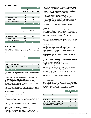#### **8. CAPITAL ASSETS**

|                        |      |                             | 2011       |
|------------------------|------|-----------------------------|------------|
|                        | Cost | Accumulated<br>amortization | <b>Net</b> |
|                        |      |                             |            |
|                        | S    | S                           |            |
| Computer equipment     | 374  | 352                         | 22         |
| Office equipment       | 125  | 123                         | 2          |
| Leasehold improvements | 16   | 16                          |            |
|                        | 515  | 491                         |            |

|                        |      |                             | 2010 |
|------------------------|------|-----------------------------|------|
|                        | Cost | Accumulated<br>amortization | Net  |
|                        | \$   | \$                          | \$   |
| Computer equipment     | 358  | 345                         | 13   |
| Office equipment       | 125  | 121                         |      |
| Leasehold improvements | 16   | 13                          | з    |
|                        | 499  | 479                         |      |

#### **9. LINE OF CREDIT**

The line of credit, for an authorized amount of \$500, is unsecured, bears interest at prime rate plus 1% (3%; 3.25% in 2010) and is renegotiable in September 2011. The line of credit was not used as at March 31, 2011 and 2010.

#### **10 - DEFERRED CONTRIBUTIONS**

|                                                    | 2011 | 2010 |
|----------------------------------------------------|------|------|
|                                                    |      |      |
| Fourth Decade Fund                                 |      |      |
| Balance, beginning of year                         | 108  | 95   |
| Amount received relating to the following<br>years |      | 13   |
| Balance, end of year                               | 108  | 108  |

The Fourth Decade Fund represents amounts received and restricted for purposes specified by the donors.

#### **11. FINANCIAL RISK MANAGEMENT OBJECTIVES AND POLICIES, AND FINANCIAL RISKS**

**Financial risk management objectives and policies** The Organization is exposed to various financial risks resulting from both its operating and investing activities. The Organization's management manages financial risks.

The Organization does not enter into financial instrument agreements including derivative Financial instruments for speculative purposes.

#### **Financial risks**

The Organization's main financial risk exposure and its financial risk management policies are as follows.

#### *Interest rate risk*

Bonds and mutual fund units in money market, and bonds bear interest at a fixed rate and the Organization is, therefore, exposed to the risk of changes in fair value resulting from interest rate fluctuations.

The Organization does not use derivative financial instruments to reduce its interest rate risk exposure.

#### *Credit risk and concentration of credit risk*

Generally, the carrying amount on the balance sheet of the Organization's financial assets exposed to credit risk, net of any applicable provisions for losses, represents the maximum amount exposed to credit risk.

#### • Trade accounts receivable:

An Organization's credit risk is attributable to its trade accounts receivable. The Organization does not require a guarantee from its customers. Trade account receivable balances are managed and analyzed on an ongoing basis and, accordingly, the Organization's exposure to doubtful accounts is not significant;

#### • Investments in bonds and mutual fund units:

The bond and mutual fund investment balance is managed and analyzed quarterly to detect any impairment. As at March 31, 2011, management considers that the Organization's credit risk with respect to these financial assets is low and, accordingly, no allowance for losses has been recorded.

As at March 31, 2011, cash is held by a reputable financial institution.

#### *Liquidity risk*

Liquidity risk management serves to maintain a sufficient amount of cash and cash equivalents and to ensure that the Organization has financing sources such as bank loans for a sufficient authorized amount. The Organization establishes budget and cash estimates to ensure it has the necessary funds to fulfil its obligations.

#### *Other price risk*

Other price risk is the risk that the fair value of net assets fluctuates as a result of changes in market prices. The Organization is exposed to other price risk as a result of investments.

#### *Foreign exchange risk*

The Organization is exposed to foreign exchange risk due to cash, short-term investment and investments denominated in U.S. dollars. As at March 31, 2011, assets denominated in U.S. dollars consisting of cash, short-term investment and investments totalled US\$3,711 (US\$3,187 as at March 31, 2010).

The Organization does not enter into arrangements to hedge its foreign exchange risk.

**12. CAPITAL MANAGEMENT POLICIES AND PROCEDURES** The Organization defines its capital as its net assets and its capital management objectives are as follows:

- Maintain its ability to continue as a going concern;
- • Fulfil its financial obligations.

The Organization manages its capital primarily through investment revenues and the sale of advertising and publications.

To maintain or adjust its capital structure, it may be necessary to adjust the estimates for the expenses of some activities.

The Organization is not subject, under outside rules, to capital requirements.

#### **13. COMMITMENTS**

The Organization has entered into long-term lease agreements and a service contract expiring by 2022, which call for payments of \$867 for the rental of equipment and office space and services. Minimum lease payments for the next years are \$80 in 2012, \$81 in 2013, \$83 in 2014, \$80 in 2015 and \$543 in 2016 and the following years.

|                                                                                                    | 2011  | 2010  |
|----------------------------------------------------------------------------------------------------|-------|-------|
|                                                                                                    | S     | \$    |
| <b>Net Investment Income</b>                                                                       |       |       |
| Interest revenues                                                                                  | 621   | 702   |
| Dividend revenues                                                                                  | 598   | 499   |
| Gain (loss) on disposal of investments                                                             | 214   | (118) |
| Changes in fair value of financial assets<br>designated by the Organization as held<br>for trading | 2,123 | 5,056 |
|                                                                                                    | 3.556 | 6.139 |